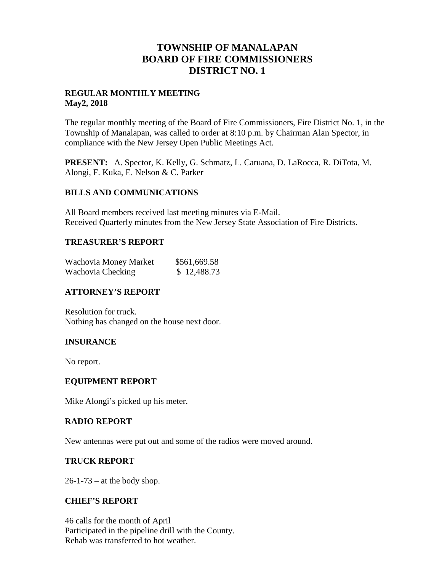## **TOWNSHIP OF MANALAPAN BOARD OF FIRE COMMISSIONERS DISTRICT NO. 1**

#### **REGULAR MONTHLY MEETING May2, 2018**

The regular monthly meeting of the Board of Fire Commissioners, Fire District No. 1, in the Township of Manalapan, was called to order at 8:10 p.m. by Chairman Alan Spector, in compliance with the New Jersey Open Public Meetings Act.

**PRESENT:** A. Spector, K. Kelly, G. Schmatz, L. Caruana, D. LaRocca, R. DiTota, M. Alongi, F. Kuka, E. Nelson & C. Parker

#### **BILLS AND COMMUNICATIONS**

All Board members received last meeting minutes via E-Mail. Received Quarterly minutes from the New Jersey State Association of Fire Districts.

#### **TREASURER'S REPORT**

| Wachovia Money Market | \$561,669.58 |
|-----------------------|--------------|
| Wachovia Checking     | \$12,488.73  |

### **ATTORNEY'S REPORT**

Resolution for truck. Nothing has changed on the house next door.

#### **INSURANCE**

No report.

#### **EQUIPMENT REPORT**

Mike Alongi's picked up his meter.

#### **RADIO REPORT**

New antennas were put out and some of the radios were moved around.

#### **TRUCK REPORT**

 $26-1-73$  – at the body shop.

#### **CHIEF'S REPORT**

46 calls for the month of April Participated in the pipeline drill with the County. Rehab was transferred to hot weather.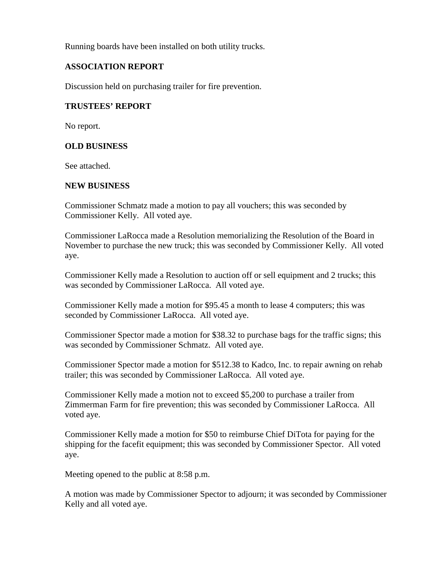Running boards have been installed on both utility trucks.

#### **ASSOCIATION REPORT**

Discussion held on purchasing trailer for fire prevention.

#### **TRUSTEES' REPORT**

No report.

#### **OLD BUSINESS**

See attached.

#### **NEW BUSINESS**

Commissioner Schmatz made a motion to pay all vouchers; this was seconded by Commissioner Kelly. All voted aye.

Commissioner LaRocca made a Resolution memorializing the Resolution of the Board in November to purchase the new truck; this was seconded by Commissioner Kelly. All voted aye.

Commissioner Kelly made a Resolution to auction off or sell equipment and 2 trucks; this was seconded by Commissioner LaRocca. All voted aye.

Commissioner Kelly made a motion for \$95.45 a month to lease 4 computers; this was seconded by Commissioner LaRocca. All voted aye.

Commissioner Spector made a motion for \$38.32 to purchase bags for the traffic signs; this was seconded by Commissioner Schmatz. All voted aye.

Commissioner Spector made a motion for \$512.38 to Kadco, Inc. to repair awning on rehab trailer; this was seconded by Commissioner LaRocca. All voted aye.

Commissioner Kelly made a motion not to exceed \$5,200 to purchase a trailer from Zimmerman Farm for fire prevention; this was seconded by Commissioner LaRocca. All voted aye.

Commissioner Kelly made a motion for \$50 to reimburse Chief DiTota for paying for the shipping for the facefit equipment; this was seconded by Commissioner Spector. All voted aye.

Meeting opened to the public at 8:58 p.m.

A motion was made by Commissioner Spector to adjourn; it was seconded by Commissioner Kelly and all voted aye.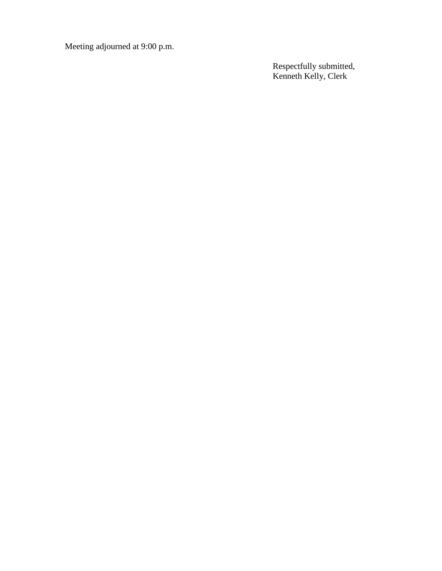Meeting adjourned at 9:00 p.m.

Respectfully submitted, Kenneth Kelly, Clerk